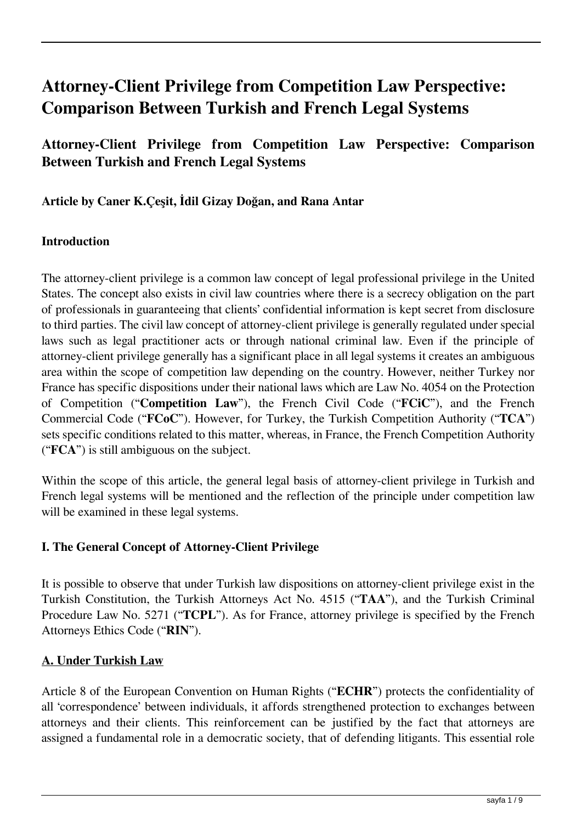# **Attorney-Client Privilege from Competition Law Perspective: Comparison Between Turkish and French Legal Systems**

# **Attorney-Client Privilege from Competition Law Perspective: Comparison Between Turkish and French Legal Systems**

**Article by Caner K.Çeşit, İdil Gizay Doğan, and Rana Antar**

#### **Introduction**

The attorney-client privilege is a common law concept of legal professional privilege in the United States. The concept also exists in civil law countries where there is a secrecy obligation on the part of professionals in guaranteeing that clients' confidential information is kept secret from disclosure to third parties. The civil law concept of attorney-client privilege is generally regulated under special laws such as legal practitioner acts or through national criminal law. Even if the principle of attorney-client privilege generally has a significant place in all legal systems it creates an ambiguous area within the scope of competition law depending on the country. However, neither Turkey nor France has specific dispositions under their national laws which are Law No. 4054 on the Protection of Competition ("**Competition Law**"), the French Civil Code ("**FCiC**"), and the French Commercial Code ("**FCoC**"). However, for Turkey, the Turkish Competition Authority ("**TCA**") sets specific conditions related to this matter, whereas, in France, the French Competition Authority ("**FCA**") is still ambiguous on the subject.

Within the scope of this article, the general legal basis of attorney-client privilege in Turkish and French legal systems will be mentioned and the reflection of the principle under competition law will be examined in these legal systems.

#### **I. The General Concept of Attorney-Client Privilege**

It is possible to observe that under Turkish law dispositions on attorney-client privilege exist in the Turkish Constitution, the Turkish Attorneys Act No. 4515 ("**TAA**"), and the Turkish Criminal Procedure Law No. 5271 ("**TCPL**"). As for France, attorney privilege is specified by the French Attorneys Ethics Code ("**RIN**").

#### **A. Under Turkish Law**

Article 8 of the European Convention on Human Rights ("**ECHR**") protects the confidentiality of all 'correspondence' between individuals, it affords strengthened protection to exchanges between attorneys and their clients. This reinforcement can be justified by the fact that attorneys are assigned a fundamental role in a democratic society, that of defending litigants. This essential role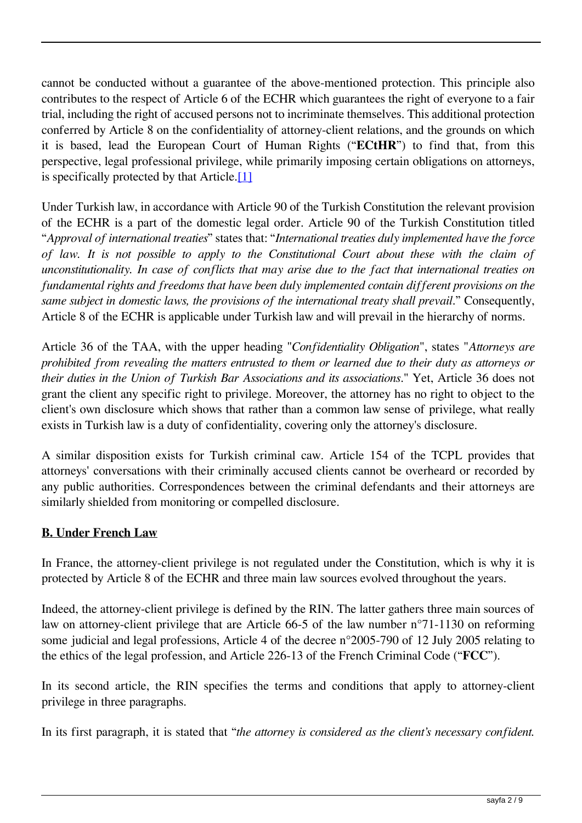cannot be conducted without a guarantee of the above-mentioned protection. This principle also contributes to the respect of Article 6 of the ECHR which guarantees the right of everyone to a fair trial, including the right of accused persons not to incriminate themselves. This additional protection conferred by Article 8 on the confidentiality of attorney-client relations, and the grounds on which it is based, lead the European Court of Human Rights ("**ECtHR**") to find that, from this perspective, legal professional privilege, while primarily imposing certain obligations on attorneys, is specifically protected by that Article.[1]

Under Turkish law, in accordance with Article 90 of the Turkish Constitution the relevant provision of the ECHR is a part of the domestic legal order. Article 90 of the Turkish Constitution titled "*Approval of international treaties*" states that: "*International treaties duly implemented have the force of law. It is not possible to apply to the Constitutional Court about these with the claim of unconstitutionality. In case of conflicts that may arise due to the fact that international treaties on fundamental rights and freedoms that have been duly implemented contain different provisions on the same subject in domestic laws, the provisions of the international treaty shall prevail.*" Consequently, Article 8 of the ECHR is applicable under Turkish law and will prevail in the hierarchy of norms.

Article 36 of the TAA, with the upper heading "*Confidentiality Obligation*", states "*Attorneys are prohibited from revealing the matters entrusted to them or learned due to their duty as attorneys or their duties in the Union of Turkish Bar Associations and its associations*." Yet, Article 36 does not grant the client any specific right to privilege. Moreover, the attorney has no right to object to the client's own disclosure which shows that rather than a common law sense of privilege, what really exists in Turkish law is a duty of confidentiality, covering only the attorney's disclosure.

A similar disposition exists for Turkish criminal caw. Article 154 of the TCPL provides that attorneys' conversations with their criminally accused clients cannot be overheard or recorded by any public authorities. Correspondences between the criminal defendants and their attorneys are similarly shielded from monitoring or compelled disclosure.

#### **B. Under French Law**

In France, the attorney-client privilege is not regulated under the Constitution, which is why it is protected by Article 8 of the ECHR and three main law sources evolved throughout the years.

Indeed, the attorney-client privilege is defined by the RIN. The latter gathers three main sources of law on attorney-client privilege that are Article 66-5 of the law number n°71-1130 on reforming some judicial and legal professions, Article 4 of the decree n°2005-790 of 12 July 2005 relating to the ethics of the legal profession, and Article 226-13 of the French Criminal Code ("**FCC**").

In its second article, the RIN specifies the terms and conditions that apply to attorney-client privilege in three paragraphs.

In its first paragraph, it is stated that "*the attorney is considered as the client's necessary confident.*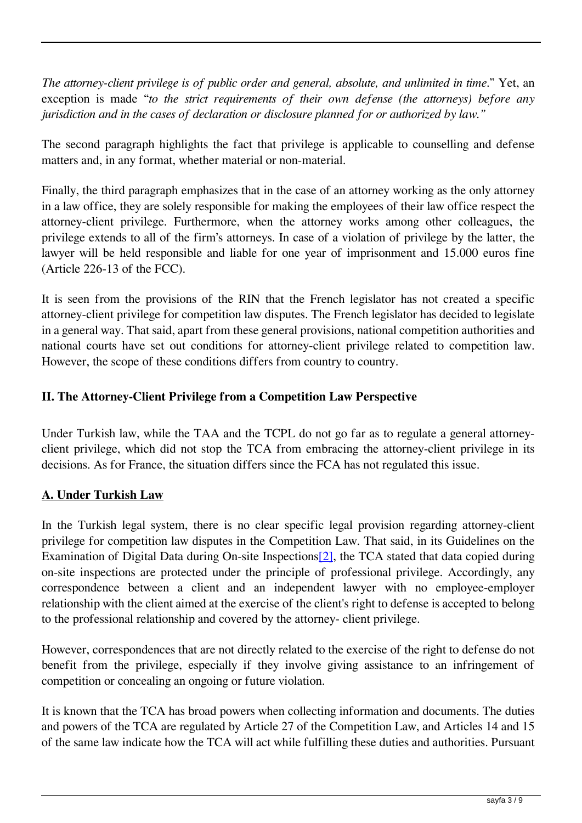*The attorney-client privilege is of public order and general, absolute, and unlimited in time*." Yet, an exception is made "*to the strict requirements of their own defense (the attorneys) before any jurisdiction and in the cases of declaration or disclosure planned for or authorized by law."*

The second paragraph highlights the fact that privilege is applicable to counselling and defense matters and, in any format, whether material or non-material.

Finally, the third paragraph emphasizes that in the case of an attorney working as the only attorney in a law office, they are solely responsible for making the employees of their law office respect the attorney-client privilege. Furthermore, when the attorney works among other colleagues, the privilege extends to all of the firm's attorneys. In case of a violation of privilege by the latter, the lawyer will be held responsible and liable for one year of imprisonment and 15.000 euros fine (Article 226-13 of the FCC).

It is seen from the provisions of the RIN that the French legislator has not created a specific attorney-client privilege for competition law disputes. The French legislator has decided to legislate in a general way. That said, apart from these general provisions, national competition authorities and national courts have set out conditions for attorney-client privilege related to competition law. However, the scope of these conditions differs from country to country.

## **II. The Attorney-Client Privilege from a Competition Law Perspective**

Under Turkish law, while the TAA and the TCPL do not go far as to regulate a general attorneyclient privilege, which did not stop the TCA from embracing the attorney-client privilege in its decisions. As for France, the situation differs since the FCA has not regulated this issue.

#### **A. Under Turkish Law**

In the Turkish legal system, there is no clear specific legal provision regarding attorney-client privilege for competition law disputes in the Competition Law. That said, in its Guidelines on the Examination of Digital Data during On-site Inspections [2], the TCA stated that data copied during on-site inspections are protected under the principle of professional privilege. Accordingly, any correspondence between a client and an independent lawyer with no employee-employer relationship with the client aimed at the exercise of the client's right to defense is accepted to belong to the professional relationship and covered by the attorney- client privilege.

However, correspondences that are not directly related to the exercise of the right to defense do not benefit from the privilege, especially if they involve giving assistance to an infringement of competition or concealing an ongoing or future violation.

It is known that the TCA has broad powers when collecting information and documents. The duties and powers of the TCA are regulated by Article 27 of the Competition Law, and Articles 14 and 15 of the same law indicate how the TCA will act while fulfilling these duties and authorities. Pursuant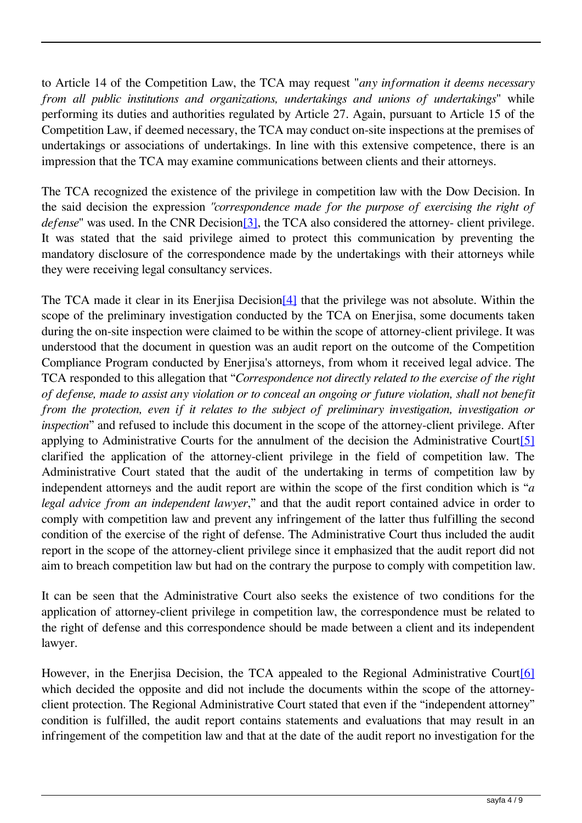to Article 14 of the Competition Law, the TCA may request "*any information it deems necessary from all public institutions and organizations, undertakings and unions of undertakings*" while performing its duties and authorities regulated by Article 27. Again, pursuant to Article 15 of the Competition Law, if deemed necessary, the TCA may conduct on-site inspections at the premises of undertakings or associations of undertakings. In line with this extensive competence, there is an impression that the TCA may examine communications between clients and their attorneys.

The TCA recognized the existence of the privilege in competition law with the Dow Decision. In the said decision the expression *"correspondence made for the purpose of exercising the right of defense*" was used. In the CNR Decision<sup>[3]</sup>, the TCA also considered the attorney- client privilege. It was stated that the said privilege aimed to protect this communication by preventing the mandatory disclosure of the correspondence made by the undertakings with their attorneys while they were receiving legal consultancy services.

The TCA made it clear in its Enerjisa Decision<sup>[4]</sup> that the privilege was not absolute. Within the scope of the preliminary investigation conducted by the TCA on Enerjisa, some documents taken during the on-site inspection were claimed to be within the scope of attorney-client privilege. It was understood that the document in question was an audit report on the outcome of the Competition Compliance Program conducted by Enerjisa's attorneys, from whom it received legal advice. The TCA responded to this allegation that "*Correspondence not directly related to the exercise of the right of defense, made to assist any violation or to conceal an ongoing or future violation, shall not benefit from the protection, even if it relates to the subject of preliminary investigation, investigation or inspection*" and refused to include this document in the scope of the attorney-client privilege. After applying to Administrative Courts for the annulment of the decision the Administrative Court<sup>[5]</sup> clarified the application of the attorney-client privilege in the field of competition law. The Administrative Court stated that the audit of the undertaking in terms of competition law by independent attorneys and the audit report are within the scope of the first condition which is "*a legal advice from an independent lawyer*," and that the audit report contained advice in order to comply with competition law and prevent any infringement of the latter thus fulfilling the second condition of the exercise of the right of defense. The Administrative Court thus included the audit report in the scope of the attorney-client privilege since it emphasized that the audit report did not aim to breach competition law but had on the contrary the purpose to comply with competition law.

It can be seen that the Administrative Court also seeks the existence of two conditions for the application of attorney-client privilege in competition law, the correspondence must be related to the right of defense and this correspondence should be made between a client and its independent lawyer.

However, in the Enerjisa Decision, the TCA appealed to the Regional Administrative Court<sup>[6]</sup> which decided the opposite and did not include the documents within the scope of the attorneyclient protection. The Regional Administrative Court stated that even if the "independent attorney" condition is fulfilled, the audit report contains statements and evaluations that may result in an infringement of the competition law and that at the date of the audit report no investigation for the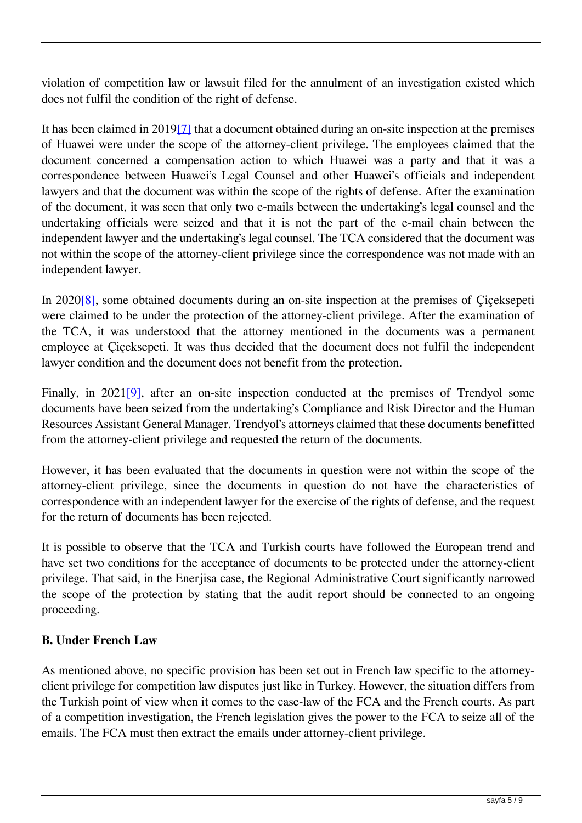violation of competition law or lawsuit filed for the annulment of an investigation existed which does not fulfil the condition of the right of defense.

It has been claimed in 2019[7] that a document obtained during an on-site inspection at the premises of Huawei were under the scope of the attorney-client privilege. The employees claimed that the document concerned a compensation action to which Huawei was a party and that it was a correspondence between Huawei's Legal Counsel and other Huawei's officials and independent lawyers and that the document was within the scope of the rights of defense. After the examination of the document, it was seen that only two e-mails between the undertaking's legal counsel and the undertaking officials were seized and that it is not the part of the e-mail chain between the independent lawyer and the undertaking's legal counsel. The TCA considered that the document was not within the scope of the attorney-client privilege since the correspondence was not made with an independent lawyer.

In 2020[8], some obtained documents during an on-site inspection at the premises of Çiçeksepeti were claimed to be under the protection of the attorney-client privilege. After the examination of the TCA, it was understood that the attorney mentioned in the documents was a permanent employee at Çiçeksepeti. It was thus decided that the document does not fulfil the independent lawyer condition and the document does not benefit from the protection.

Finally, in 2021<sup>[9]</sup>, after an on-site inspection conducted at the premises of Trendyol some documents have been seized from the undertaking's Compliance and Risk Director and the Human Resources Assistant General Manager. Trendyol's attorneys claimed that these documents benefitted from the attorney-client privilege and requested the return of the documents.

However, it has been evaluated that the documents in question were not within the scope of the attorney-client privilege, since the documents in question do not have the characteristics of correspondence with an independent lawyer for the exercise of the rights of defense, and the request for the return of documents has been rejected.

It is possible to observe that the TCA and Turkish courts have followed the European trend and have set two conditions for the acceptance of documents to be protected under the attorney-client privilege. That said, in the Enerjisa case, the Regional Administrative Court significantly narrowed the scope of the protection by stating that the audit report should be connected to an ongoing proceeding.

# **B. Under French Law**

As mentioned above, no specific provision has been set out in French law specific to the attorneyclient privilege for competition law disputes just like in Turkey. However, the situation differs from the Turkish point of view when it comes to the case-law of the FCA and the French courts. As part of a competition investigation, the French legislation gives the power to the FCA to seize all of the emails. The FCA must then extract the emails under attorney-client privilege.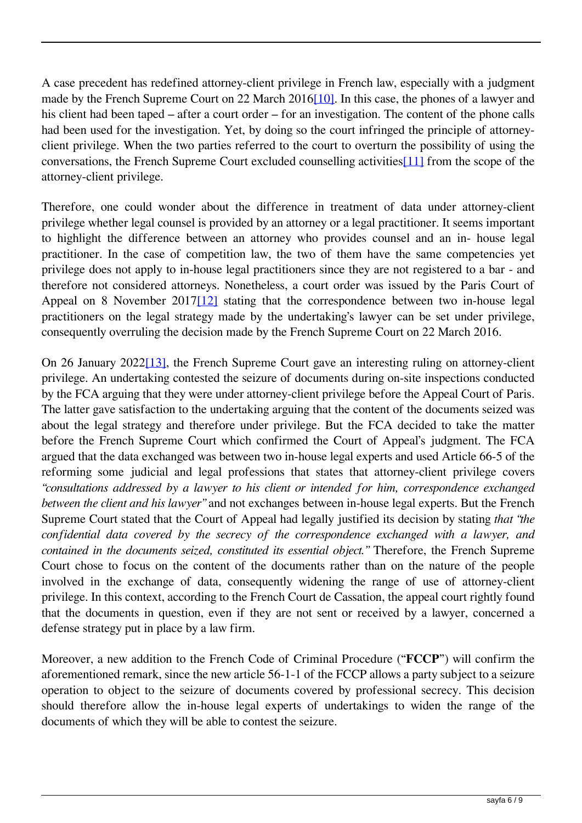A case precedent has redefined attorney-client privilege in French law, especially with a judgment made by the French Supreme Court on 22 March 2016[10]. In this case, the phones of a lawyer and his client had been taped – after a court order – for an investigation. The content of the phone calls had been used for the investigation. Yet, by doing so the court infringed the principle of attorneyclient privilege. When the two parties referred to the court to overturn the possibility of using the conversations, the French Supreme Court excluded counselling activities[11] from the scope of the attorney-client privilege.

Therefore, one could wonder about the difference in treatment of data under attorney-client privilege whether legal counsel is provided by an attorney or a legal practitioner. It seems important to highlight the difference between an attorney who provides counsel and an in- house legal practitioner. In the case of competition law, the two of them have the same competencies yet privilege does not apply to in-house legal practitioners since they are not registered to a bar - and therefore not considered attorneys. Nonetheless, a court order was issued by the Paris Court of Appeal on 8 November 2017[12] stating that the correspondence between two in-house legal practitioners on the legal strategy made by the undertaking's lawyer can be set under privilege, consequently overruling the decision made by the French Supreme Court on 22 March 2016.

On 26 January 2022[13], the French Supreme Court gave an interesting ruling on attorney-client privilege. An undertaking contested the seizure of documents during on-site inspections conducted by the FCA arguing that they were under attorney-client privilege before the Appeal Court of Paris. The latter gave satisfaction to the undertaking arguing that the content of the documents seized was about the legal strategy and therefore under privilege. But the FCA decided to take the matter before the French Supreme Court which confirmed the Court of Appeal's judgment. The FCA argued that the data exchanged was between two in-house legal experts and used Article 66-5 of the reforming some judicial and legal professions that states that attorney-client privilege covers *"consultations addressed by a lawyer to his client or intended for him, correspondence exchanged between the client and his lawyer"* and not exchanges between in-house legal experts. But the French Supreme Court stated that the Court of Appeal had legally justified its decision by stating *that "the confidential data covered by the secrecy of the correspondence exchanged with a lawyer, and contained in the documents seized, constituted its essential object."* Therefore, the French Supreme Court chose to focus on the content of the documents rather than on the nature of the people involved in the exchange of data, consequently widening the range of use of attorney-client privilege. In this context, according to the French Court de Cassation, the appeal court rightly found that the documents in question, even if they are not sent or received by a lawyer, concerned a defense strategy put in place by a law firm.

Moreover, a new addition to the French Code of Criminal Procedure ("**FCCP**") will confirm the aforementioned remark, since the new article 56-1-1 of the FCCP allows a party subject to a seizure operation to object to the seizure of documents covered by professional secrecy. This decision should therefore allow the in-house legal experts of undertakings to widen the range of the documents of which they will be able to contest the seizure.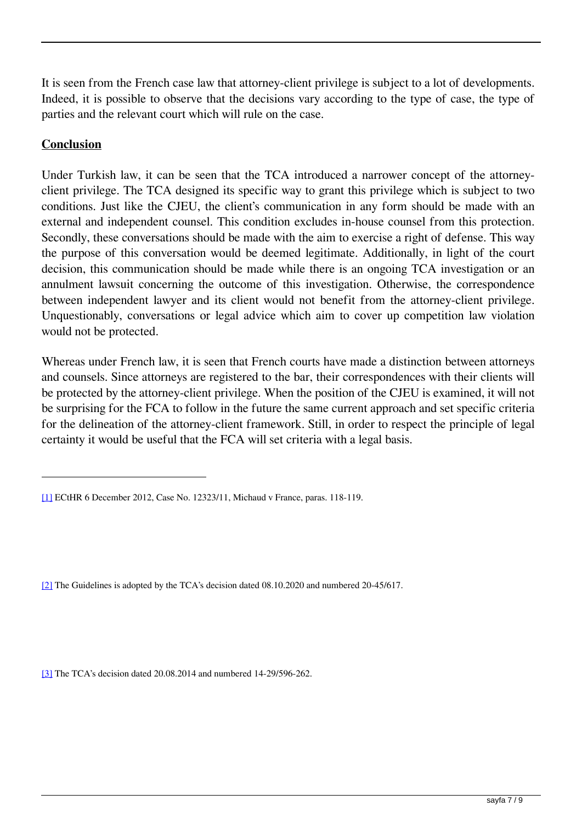It is seen from the French case law that attorney-client privilege is subject to a lot of developments. Indeed, it is possible to observe that the decisions vary according to the type of case, the type of parties and the relevant court which will rule on the case.

## **Conclusion**

Under Turkish law, it can be seen that the TCA introduced a narrower concept of the attorneyclient privilege. The TCA designed its specific way to grant this privilege which is subject to two conditions. Just like the CJEU, the client's communication in any form should be made with an external and independent counsel. This condition excludes in-house counsel from this protection. Secondly, these conversations should be made with the aim to exercise a right of defense. This way the purpose of this conversation would be deemed legitimate. Additionally, in light of the court decision, this communication should be made while there is an ongoing TCA investigation or an annulment lawsuit concerning the outcome of this investigation. Otherwise, the correspondence between independent lawyer and its client would not benefit from the attorney-client privilege. Unquestionably, conversations or legal advice which aim to cover up competition law violation would not be protected.

Whereas under French law, it is seen that French courts have made a distinction between attorneys and counsels. Since attorneys are registered to the bar, their correspondences with their clients will be protected by the attorney-client privilege. When the position of the CJEU is examined, it will not be surprising for the FCA to follow in the future the same current approach and set specific criteria for the delineation of the attorney-client framework. Still, in order to respect the principle of legal certainty it would be useful that the FCA will set criteria with a legal basis.

[3] The TCA's decision dated 20.08.2014 and numbered 14-29/596-262.

<sup>[1]</sup> ECtHR 6 December 2012, Case No. 12323/11, Michaud v France, paras. 118-119.

<sup>[2]</sup> The Guidelines is adopted by the TCA's decision dated 08.10.2020 and numbered 20-45/617.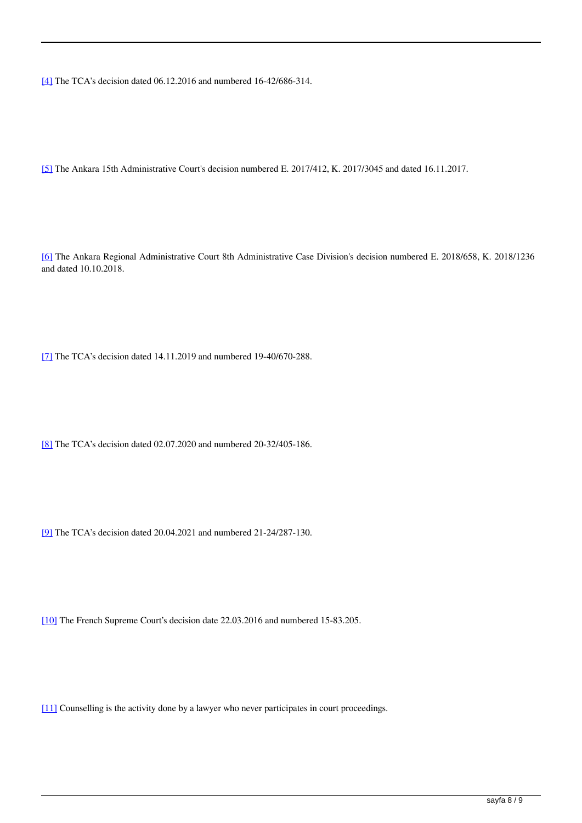[4] The TCA's decision dated 06.12.2016 and numbered 16-42/686-314.

[5] The Ankara 15th Administrative Court's decision numbered E. 2017/412, K. 2017/3045 and dated 16.11.2017.

[6] The Ankara Regional Administrative Court 8th Administrative Case Division's decision numbered E. 2018/658, K. 2018/1236 and dated 10.10.2018.

[7] The TCA's decision dated 14.11.2019 and numbered 19-40/670-288.

[8] The TCA's decision dated 02.07.2020 and numbered 20-32/405-186.

[9] The TCA's decision dated 20.04.2021 and numbered 21-24/287-130.

[10] The French Supreme Court's decision date 22.03.2016 and numbered 15-83.205.

[11] Counselling is the activity done by a lawyer who never participates in court proceedings.